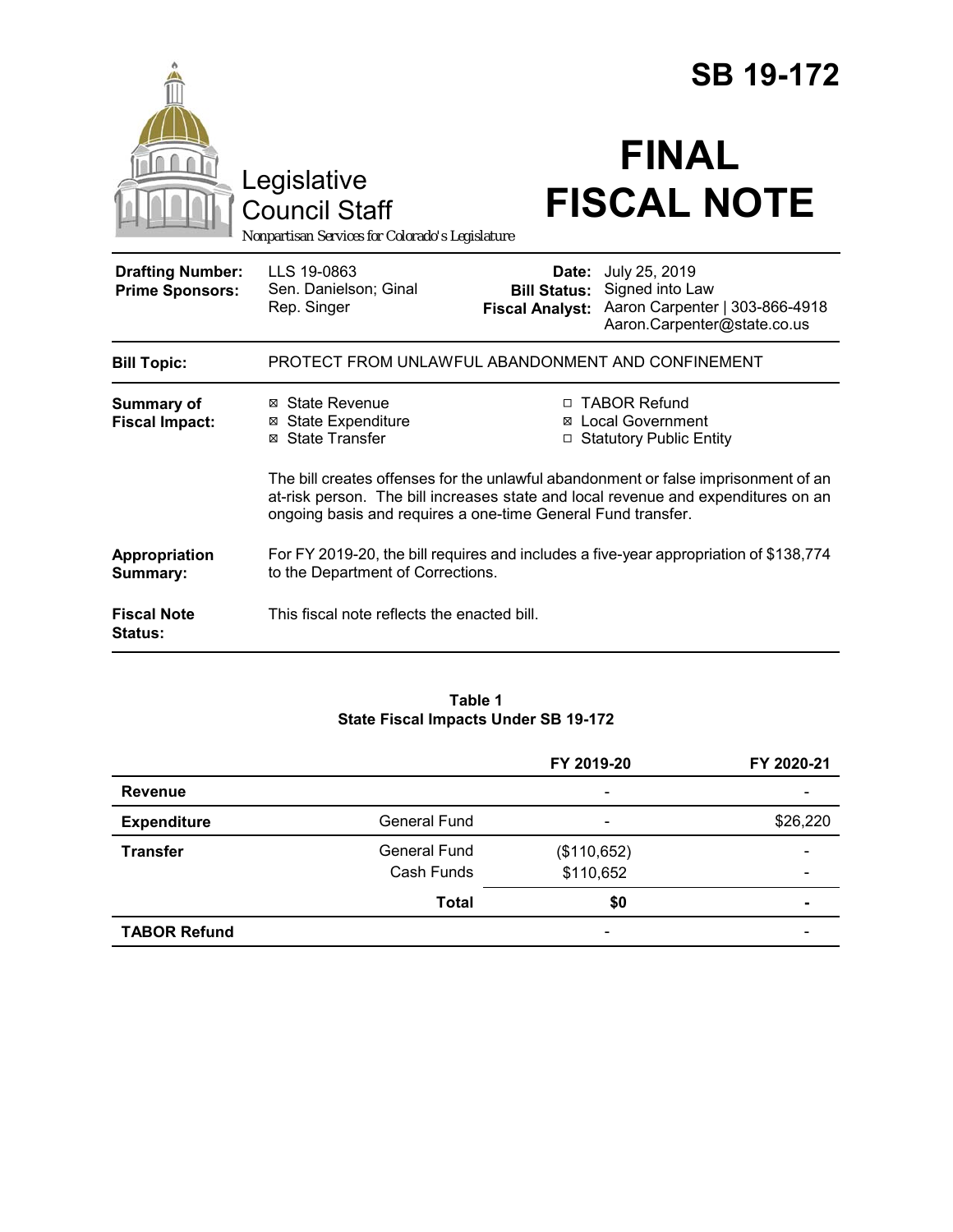|                                                   | Legislative<br><b>Council Staff</b>                                                                                                                                                                                                     |                                                        | <b>SB 19-172</b><br><b>FINAL</b><br><b>FISCAL NOTE</b>                                            |  |
|---------------------------------------------------|-----------------------------------------------------------------------------------------------------------------------------------------------------------------------------------------------------------------------------------------|--------------------------------------------------------|---------------------------------------------------------------------------------------------------|--|
|                                                   | Nonpartisan Services for Colorado's Legislature                                                                                                                                                                                         |                                                        |                                                                                                   |  |
| <b>Drafting Number:</b><br><b>Prime Sponsors:</b> | LLS 19-0863<br>Sen. Danielson; Ginal<br>Rep. Singer                                                                                                                                                                                     | Date:<br><b>Bill Status:</b><br><b>Fiscal Analyst:</b> | July 25, 2019<br>Signed into Law<br>Aaron Carpenter   303-866-4918<br>Aaron.Carpenter@state.co.us |  |
| <b>Bill Topic:</b>                                | PROTECT FROM UNLAWFUL ABANDONMENT AND CONFINEMENT                                                                                                                                                                                       |                                                        |                                                                                                   |  |
| <b>Summary of</b><br><b>Fiscal Impact:</b>        | ⊠ State Revenue<br><b>⊠</b> State Expenditure<br><b>State Transfer</b><br>⊠                                                                                                                                                             | П<br>⊠                                                 | <b>TABOR Refund</b><br><b>Local Government</b><br><b>Statutory Public Entity</b>                  |  |
|                                                   | The bill creates offenses for the unlawful abandonment or false imprisonment of an<br>at-risk person. The bill increases state and local revenue and expenditures on an<br>ongoing basis and requires a one-time General Fund transfer. |                                                        |                                                                                                   |  |
| Appropriation<br>Summary:                         | For FY 2019-20, the bill requires and includes a five-year appropriation of \$138,774<br>to the Department of Corrections.                                                                                                              |                                                        |                                                                                                   |  |
| <b>Fiscal Note</b><br><b>Status:</b>              | This fiscal note reflects the enacted bill.                                                                                                                                                                                             |                                                        |                                                                                                   |  |

#### **Table 1 State Fiscal Impacts Under SB 19-172**

|                     |                     | FY 2019-20                   | FY 2020-21 |
|---------------------|---------------------|------------------------------|------------|
| <b>Revenue</b>      |                     |                              |            |
| <b>Expenditure</b>  | <b>General Fund</b> |                              | \$26,220   |
| <b>Transfer</b>     | <b>General Fund</b> | (\$110,652)                  |            |
|                     | Cash Funds          | \$110,652                    | -          |
|                     | <b>Total</b>        | \$0                          | ۰          |
| <b>TABOR Refund</b> |                     | $\qquad \qquad \blacksquare$ |            |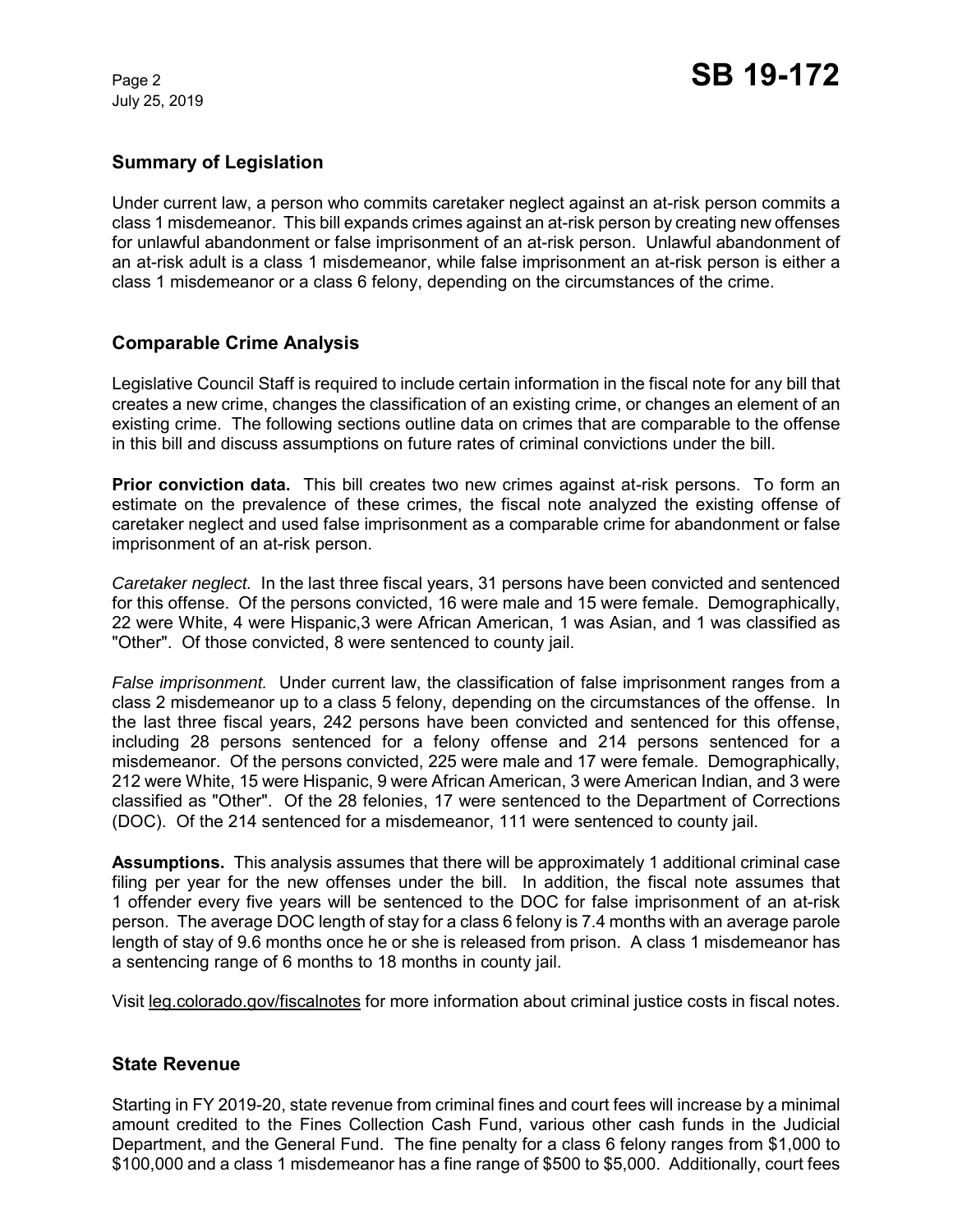July 25, 2019

# **Summary of Legislation**

Under current law, a person who commits caretaker neglect against an at-risk person commits a class 1 misdemeanor. This bill expands crimes against an at-risk person by creating new offenses for unlawful abandonment or false imprisonment of an at-risk person. Unlawful abandonment of an at-risk adult is a class 1 misdemeanor, while false imprisonment an at-risk person is either a class 1 misdemeanor or a class 6 felony, depending on the circumstances of the crime.

### **Comparable Crime Analysis**

Legislative Council Staff is required to include certain information in the fiscal note for any bill that creates a new crime, changes the classification of an existing crime, or changes an element of an existing crime. The following sections outline data on crimes that are comparable to the offense in this bill and discuss assumptions on future rates of criminal convictions under the bill.

**Prior conviction data.** This bill creates two new crimes against at-risk persons. To form an estimate on the prevalence of these crimes, the fiscal note analyzed the existing offense of caretaker neglect and used false imprisonment as a comparable crime for abandonment or false imprisonment of an at-risk person.

*Caretaker neglect.* In the last three fiscal years, 31 persons have been convicted and sentenced for this offense. Of the persons convicted, 16 were male and 15 were female. Demographically, 22 were White, 4 were Hispanic,3 were African American, 1 was Asian, and 1 was classified as "Other". Of those convicted, 8 were sentenced to county jail.

*False imprisonment.* Under current law, the classification of false imprisonment ranges from a class 2 misdemeanor up to a class 5 felony, depending on the circumstances of the offense. In the last three fiscal years, 242 persons have been convicted and sentenced for this offense, including 28 persons sentenced for a felony offense and 214 persons sentenced for a misdemeanor. Of the persons convicted, 225 were male and 17 were female. Demographically, 212 were White, 15 were Hispanic, 9 were African American, 3 were American Indian, and 3 were classified as "Other". Of the 28 felonies, 17 were sentenced to the Department of Corrections (DOC). Of the 214 sentenced for a misdemeanor, 111 were sentenced to county jail.

**Assumptions.** This analysis assumes that there will be approximately 1 additional criminal case filing per year for the new offenses under the bill. In addition, the fiscal note assumes that 1 offender every five years will be sentenced to the DOC for false imprisonment of an at-risk person. The average DOC length of stay for a class 6 felony is 7.4 months with an average parole length of stay of 9.6 months once he or she is released from prison. A class 1 misdemeanor has a sentencing range of 6 months to 18 months in county jail.

Visit leg.colorado.gov/fiscalnotes for more information about criminal justice costs in fiscal notes.

#### **State Revenue**

Starting in FY 2019-20, state revenue from criminal fines and court fees will increase by a minimal amount credited to the Fines Collection Cash Fund, various other cash funds in the Judicial Department, and the General Fund. The fine penalty for a class 6 felony ranges from \$1,000 to \$100,000 and a class 1 misdemeanor has a fine range of \$500 to \$5,000. Additionally, court fees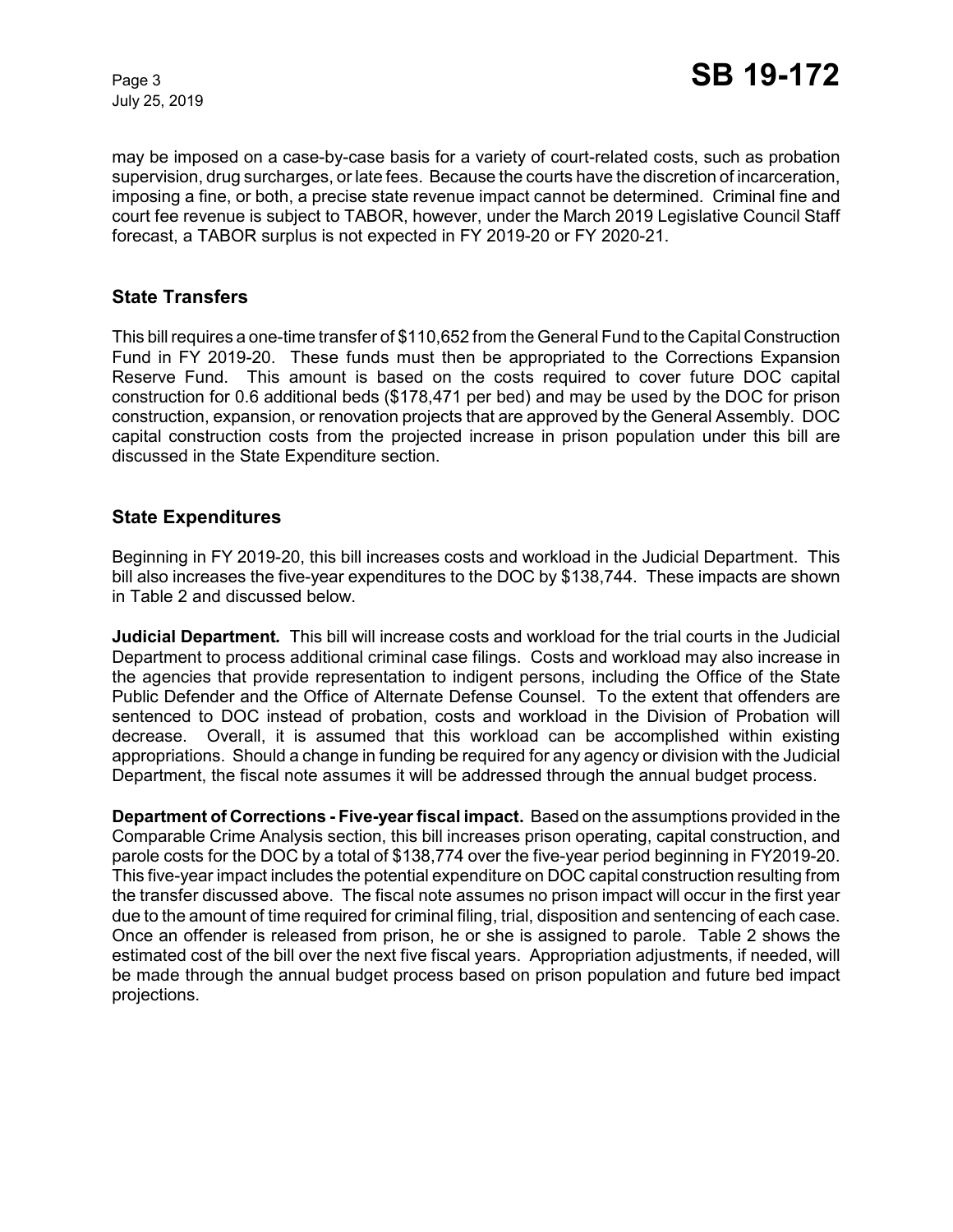July 25, 2019

may be imposed on a case-by-case basis for a variety of court-related costs, such as probation supervision, drug surcharges, or late fees. Because the courts have the discretion of incarceration, imposing a fine, or both, a precise state revenue impact cannot be determined. Criminal fine and court fee revenue is subject to TABOR, however, under the March 2019 Legislative Council Staff forecast, a TABOR surplus is not expected in FY 2019-20 or FY 2020-21.

#### **State Transfers**

This bill requires a one-time transfer of \$110,652 from the General Fund to the Capital Construction Fund in FY 2019-20. These funds must then be appropriated to the Corrections Expansion Reserve Fund. This amount is based on the costs required to cover future DOC capital construction for 0.6 additional beds (\$178,471 per bed) and may be used by the DOC for prison construction, expansion, or renovation projects that are approved by the General Assembly. DOC capital construction costs from the projected increase in prison population under this bill are discussed in the State Expenditure section.

#### **State Expenditures**

Beginning in FY 2019-20, this bill increases costs and workload in the Judicial Department. This bill also increases the five-year expenditures to the DOC by \$138,744. These impacts are shown in Table 2 and discussed below.

**Judicial Department***.* This bill will increase costs and workload for the trial courts in the Judicial Department to process additional criminal case filings. Costs and workload may also increase in the agencies that provide representation to indigent persons, including the Office of the State Public Defender and the Office of Alternate Defense Counsel. To the extent that offenders are sentenced to DOC instead of probation, costs and workload in the Division of Probation will decrease. Overall, it is assumed that this workload can be accomplished within existing appropriations. Should a change in funding be required for any agency or division with the Judicial Department, the fiscal note assumes it will be addressed through the annual budget process.

**Department of Corrections - Five-yearfiscal impact.**Based on the assumptions provided in the Comparable Crime Analysis section, this bill increases prison operating, capital construction, and parole costs for the DOC by a total of \$138,774 over the five-year period beginning in FY2019-20. This five-year impact includes the potential expenditure on DOC capital construction resulting from the transfer discussed above. The fiscal note assumes no prison impact will occur in the first year due to the amount of time required for criminal filing, trial, disposition and sentencing of each case. Once an offender is released from prison, he or she is assigned to parole. Table 2 shows the estimated cost of the bill over the next five fiscal years. Appropriation adjustments, if needed, will be made through the annual budget process based on prison population and future bed impact projections.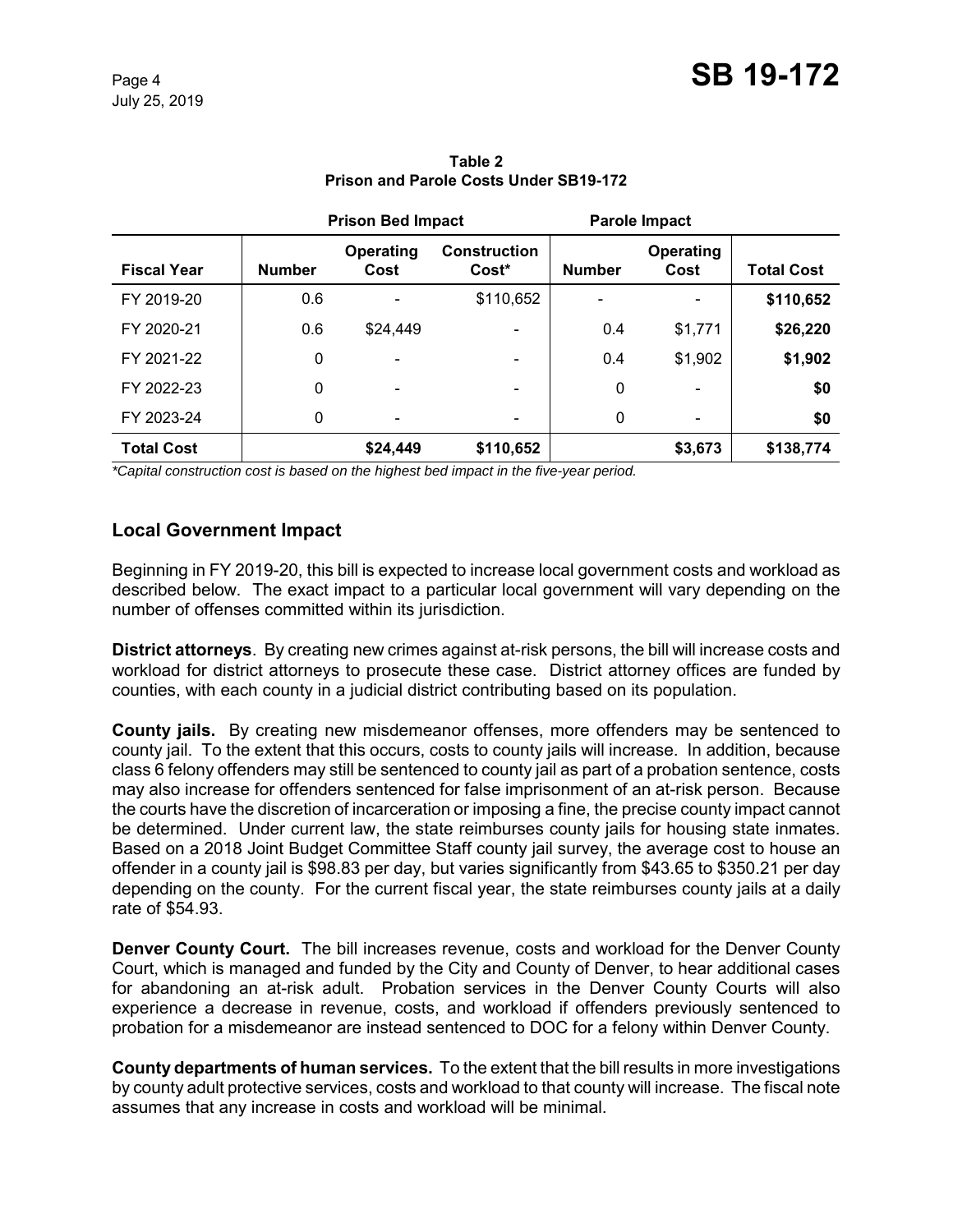|                    | <b>Prison Bed Impact</b> |                              | Parole Impact                            |               |                          |                   |
|--------------------|--------------------------|------------------------------|------------------------------------------|---------------|--------------------------|-------------------|
| <b>Fiscal Year</b> | <b>Number</b>            | Operating<br>Cost            | <b>Construction</b><br>Cost <sup>*</sup> | <b>Number</b> | <b>Operating</b><br>Cost | <b>Total Cost</b> |
| FY 2019-20         | 0.6                      | $\qquad \qquad \blacksquare$ | \$110,652                                |               |                          | \$110,652         |
| FY 2020-21         | 0.6                      | \$24,449                     |                                          | 0.4           | \$1,771                  | \$26,220          |
| FY 2021-22         | 0                        |                              |                                          | 0.4           | \$1,902                  | \$1,902           |
| FY 2022-23         | 0                        | $\qquad \qquad \blacksquare$ | -                                        | 0             |                          | \$0               |
| FY 2023-24         | 0                        | $\overline{\phantom{a}}$     |                                          | 0             |                          | \$0               |
| <b>Total Cost</b>  |                          | \$24,449                     | \$110,652                                |               | \$3,673                  | \$138,774         |

**Table 2 Prison and Parole Costs Under SB19-172**

*\*Capital construction cost is based on the highest bed impact in the five-year period.*

# **Local Government Impact**

Beginning in FY 2019-20, this bill is expected to increase local government costs and workload as described below. The exact impact to a particular local government will vary depending on the number of offenses committed within its jurisdiction.

**District attorneys**. By creating new crimes against at-risk persons, the bill will increase costs and workload for district attorneys to prosecute these case. District attorney offices are funded by counties, with each county in a judicial district contributing based on its population.

**County jails.** By creating new misdemeanor offenses, more offenders may be sentenced to county jail. To the extent that this occurs, costs to county jails will increase. In addition, because class 6 felony offenders may still be sentenced to county jail as part of a probation sentence, costs may also increase for offenders sentenced for false imprisonment of an at-risk person. Because the courts have the discretion of incarceration or imposing a fine, the precise county impact cannot be determined. Under current law, the state reimburses county jails for housing state inmates. Based on a 2018 Joint Budget Committee Staff county jail survey, the average cost to house an offender in a county jail is \$98.83 per day, but varies significantly from \$43.65 to \$350.21 per day depending on the county. For the current fiscal year, the state reimburses county jails at a daily rate of \$54.93.

**Denver County Court.** The bill increases revenue, costs and workload for the Denver County Court, which is managed and funded by the City and County of Denver, to hear additional cases for abandoning an at-risk adult. Probation services in the Denver County Courts will also experience a decrease in revenue, costs, and workload if offenders previously sentenced to probation for a misdemeanor are instead sentenced to DOC for a felony within Denver County.

**County departments of human services.** To the extent that the bill results in more investigations by county adult protective services, costs and workload to that county will increase. The fiscal note assumes that any increase in costs and workload will be minimal.